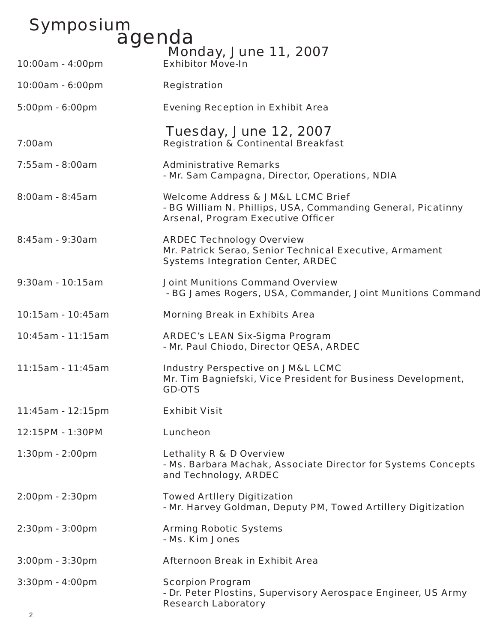## Symposium<br>agenda **Monday, June 11, 2007**<br>Exhibitor Move-In 10:00am - 4:00pm 10:00am - 6:00pm Registration

5:00pm - 6:00pm Evening Reception in Exhibit Area

- Tuesday, June 12, 2007 7:00am Registration & Continental Breakfast
- 7:55am 8:00am Administrative Remarks *- Mr. Sam Campagna, Director, Operations, NDIA*
- 8:00am 8:45am Welcome Address & JM&L LCMC Brief *- BG William N. Phillips, USA, Commanding General, Picatinny*  **Arsenal, Program Executive Officer**
- 8:45am 9:30am ARDEC Technology Overview Mr. Patrick Serao, Senior Technical Executive, Armament Systems Integration Center, ARDEC

## 9:30am - 10:15am Joint Munitions Command Overview *- BG James Rogers, USA, Commander, Joint Munitions Command*

10:15am - 10:45am Morning Break in Exhibits Area

10:45am - 11:15am ARDEC's LEAN Six-Sigma Program *- Mr. Paul Chiodo, Director QESA, ARDEC*

- 11:15am 11:45am Industry Perspective on JM&L LCMC Mr. Tim Bagniefski, Vice President for Business Development, GD-OTS
- 11:45am 12:15pm Exhibit Visit
- 12:15PM 1:30PM Luncheon
- 1:30pm 2:00pm Lethality R & D Overview - Ms. Barbara Machak, Associate Director for Systems Concepts and Technology, ARDEC
- 2:00pm 2:30pm Towed Artllery Digitization - Mr. Harvey Goldman, Deputy PM, Towed Artillery Digitization
- 2:30pm 3:00pm Arming Robotic Systems - Ms. Kim Jones
- 3:00pm 3:30pm Afternoon Break in Exhibit Area
- 3:30pm 4:00pm Scorpion Program - Dr. Peter Plostins, Supervisory Aerospace Engineer, US Army Research Laboratory